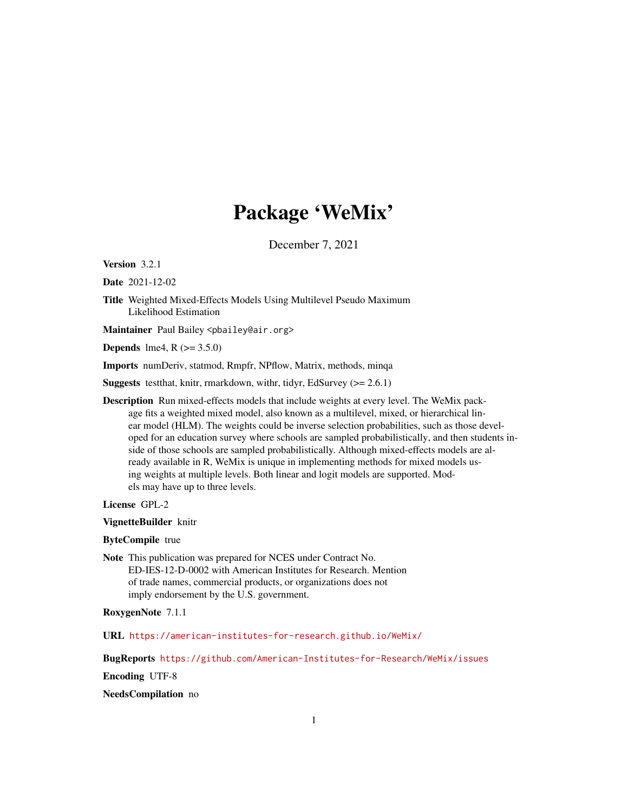## Package 'WeMix'

December 7, 2021

Version 3.2.1

Date 2021-12-02

Title Weighted Mixed-Effects Models Using Multilevel Pseudo Maximum Likelihood Estimation

Maintainer Paul Bailey <pbailey@air.org>

**Depends** lme4,  $R$  ( $>= 3.5.0$ )

Imports numDeriv, statmod, Rmpfr, NPflow, Matrix, methods, minqa

Suggests testthat, knitr, rmarkdown, withr, tidyr, EdSurvey (>= 2.6.1)

Description Run mixed-effects models that include weights at every level. The WeMix package fits a weighted mixed model, also known as a multilevel, mixed, or hierarchical linear model (HLM). The weights could be inverse selection probabilities, such as those developed for an education survey where schools are sampled probabilistically, and then students inside of those schools are sampled probabilistically. Although mixed-effects models are already available in R, WeMix is unique in implementing methods for mixed models using weights at multiple levels. Both linear and logit models are supported. Models may have up to three levels.

License GPL-2

VignetteBuilder knitr

#### ByteCompile true

Note This publication was prepared for NCES under Contract No. ED-IES-12-D-0002 with American Institutes for Research. Mention of trade names, commercial products, or organizations does not imply endorsement by the U.S. government.

RoxygenNote 7.1.1

URL <https://american-institutes-for-research.github.io/WeMix/>

BugReports <https://github.com/American-Institutes-for-Research/WeMix/issues>

Encoding UTF-8

#### NeedsCompilation no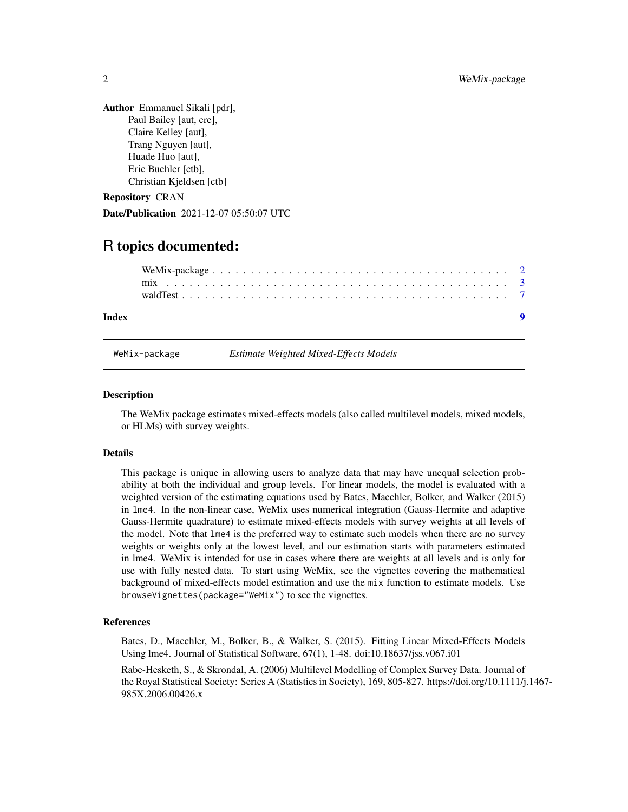<span id="page-1-0"></span>Author Emmanuel Sikali [pdr], Paul Bailey [aut, cre], Claire Kelley [aut], Trang Nguyen [aut], Huade Huo [aut], Eric Buehler [ctb], Christian Kjeldsen [ctb]

Repository CRAN

Date/Publication 2021-12-07 05:50:07 UTC

### R topics documented:

| <b>Index</b> |  |  |  |  |  |  |  |  |  |  |  |  |  |  |  |  |  |  |
|--------------|--|--|--|--|--|--|--|--|--|--|--|--|--|--|--|--|--|--|
|              |  |  |  |  |  |  |  |  |  |  |  |  |  |  |  |  |  |  |
|              |  |  |  |  |  |  |  |  |  |  |  |  |  |  |  |  |  |  |

WeMix-package *Estimate Weighted Mixed-Effects Models*

#### Description

The WeMix package estimates mixed-effects models (also called multilevel models, mixed models, or HLMs) with survey weights.

#### Details

This package is unique in allowing users to analyze data that may have unequal selection probability at both the individual and group levels. For linear models, the model is evaluated with a weighted version of the estimating equations used by Bates, Maechler, Bolker, and Walker (2015) in lme4. In the non-linear case, WeMix uses numerical integration (Gauss-Hermite and adaptive Gauss-Hermite quadrature) to estimate mixed-effects models with survey weights at all levels of the model. Note that lme4 is the preferred way to estimate such models when there are no survey weights or weights only at the lowest level, and our estimation starts with parameters estimated in lme4. WeMix is intended for use in cases where there are weights at all levels and is only for use with fully nested data. To start using WeMix, see the vignettes covering the mathematical background of mixed-effects model estimation and use the mix function to estimate models. Use browseVignettes(package="WeMix") to see the vignettes.

#### References

Bates, D., Maechler, M., Bolker, B., & Walker, S. (2015). Fitting Linear Mixed-Effects Models Using lme4. Journal of Statistical Software, 67(1), 1-48. doi:10.18637/jss.v067.i01

Rabe-Hesketh, S., & Skrondal, A. (2006) Multilevel Modelling of Complex Survey Data. Journal of the Royal Statistical Society: Series A (Statistics in Society), 169, 805-827. https://doi.org/10.1111/j.1467- 985X.2006.00426.x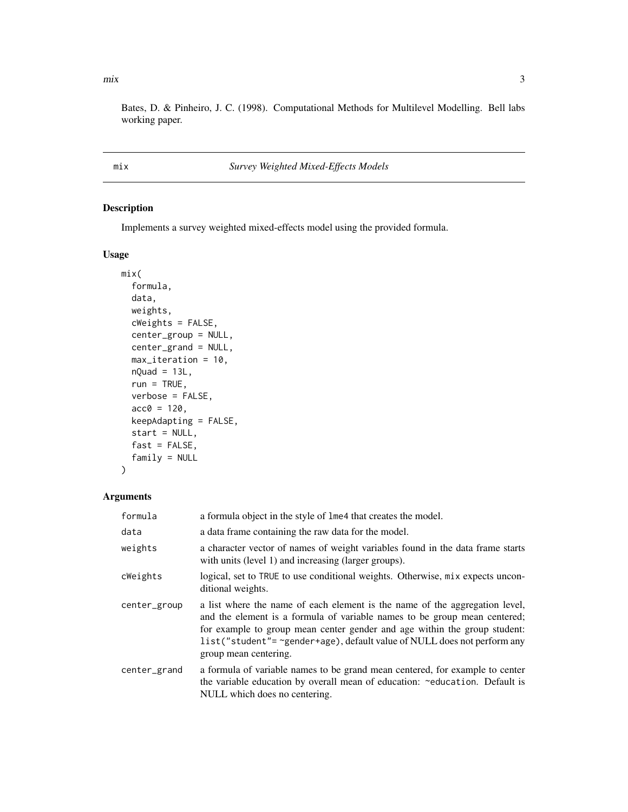<span id="page-2-0"></span> $\frac{1}{3}$ 

Bates, D. & Pinheiro, J. C. (1998). Computational Methods for Multilevel Modelling. Bell labs working paper.

<span id="page-2-1"></span>mix *Survey Weighted Mixed-Effects Models*

#### Description

Implements a survey weighted mixed-effects model using the provided formula.

#### Usage

```
mix(
  formula,
  data,
  weights,
  cWeights = FALSE,
  center_group = NULL,
  center_grand = NULL,
  max_iteration = 10,
  nQuad = 13L,
  run = TRUE,verbose = FALSE,
  acc0 = 120,
  keepAdapting = FALSE,
  start = NULL,
  fast = FALSE,
  family = NULL\mathcal{L}
```
#### Arguments

| formula      | a formula object in the style of lme4 that creates the model.                                                                                                                                                                                                                                                                              |
|--------------|--------------------------------------------------------------------------------------------------------------------------------------------------------------------------------------------------------------------------------------------------------------------------------------------------------------------------------------------|
| data         | a data frame containing the raw data for the model.                                                                                                                                                                                                                                                                                        |
| weights      | a character vector of names of weight variables found in the data frame starts<br>with units (level 1) and increasing (larger groups).                                                                                                                                                                                                     |
| cWeights     | logical, set to TRUE to use conditional weights. Otherwise, mix expects uncon-<br>ditional weights.                                                                                                                                                                                                                                        |
| center_group | a list where the name of each element is the name of the aggregation level,<br>and the element is a formula of variable names to be group mean centered;<br>for example to group mean center gender and age within the group student:<br>list("student"= ~gender+age), default value of NULL does not perform any<br>group mean centering. |
| center_grand | a formula of variable names to be grand mean centered, for example to center<br>the variable education by overall mean of education: ~education. Default is<br>NULL which does no centering.                                                                                                                                               |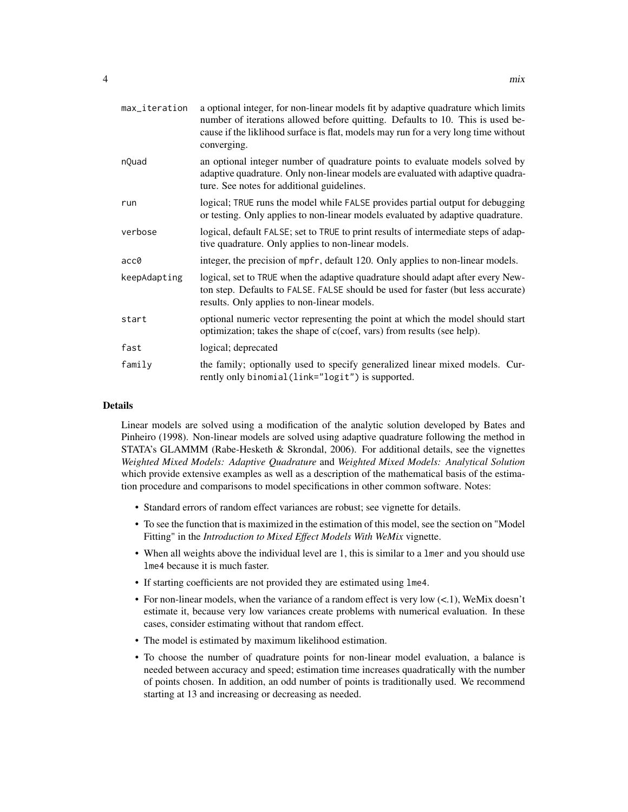| max_iteration | a optional integer, for non-linear models fit by adaptive quadrature which limits<br>number of iterations allowed before quitting. Defaults to 10. This is used be-<br>cause if the liklihood surface is flat, models may run for a very long time without<br>converging. |
|---------------|---------------------------------------------------------------------------------------------------------------------------------------------------------------------------------------------------------------------------------------------------------------------------|
| nQuad         | an optional integer number of quadrature points to evaluate models solved by<br>adaptive quadrature. Only non-linear models are evaluated with adaptive quadra-<br>ture. See notes for additional guidelines.                                                             |
| run           | logical; TRUE runs the model while FALSE provides partial output for debugging<br>or testing. Only applies to non-linear models evaluated by adaptive quadrature.                                                                                                         |
| verbose       | logical, default FALSE; set to TRUE to print results of intermediate steps of adap-<br>tive quadrature. Only applies to non-linear models.                                                                                                                                |
| acc0          | integer, the precision of mpfr, default 120. Only applies to non-linear models.                                                                                                                                                                                           |
| keepAdapting  | logical, set to TRUE when the adaptive quadrature should adapt after every New-<br>ton step. Defaults to FALSE. FALSE should be used for faster (but less accurate)<br>results. Only applies to non-linear models.                                                        |
| start         | optional numeric vector representing the point at which the model should start<br>optimization; takes the shape of c(coef, vars) from results (see help).                                                                                                                 |
| fast          | logical; deprecated                                                                                                                                                                                                                                                       |
| family        | the family; optionally used to specify generalized linear mixed models. Cur-<br>rently only binomial(link="logit") is supported.                                                                                                                                          |

#### Details

Linear models are solved using a modification of the analytic solution developed by Bates and Pinheiro (1998). Non-linear models are solved using adaptive quadrature following the method in STATA's GLAMMM (Rabe-Hesketh & Skrondal, 2006). For additional details, see the vignettes *Weighted Mixed Models: Adaptive Quadrature* and *Weighted Mixed Models: Analytical Solution* which provide extensive examples as well as a description of the mathematical basis of the estimation procedure and comparisons to model specifications in other common software. Notes:

- Standard errors of random effect variances are robust; see vignette for details.
- To see the function that is maximized in the estimation of this model, see the section on "Model Fitting" in the *Introduction to Mixed Effect Models With WeMix* vignette.
- When all weights above the individual level are 1, this is similar to a lmer and you should use lme4 because it is much faster.
- If starting coefficients are not provided they are estimated using lme4.
- For non-linear models, when the variance of a random effect is very low  $(<1)$ , WeMix doesn't estimate it, because very low variances create problems with numerical evaluation. In these cases, consider estimating without that random effect.
- The model is estimated by maximum likelihood estimation.
- To choose the number of quadrature points for non-linear model evaluation, a balance is needed between accuracy and speed; estimation time increases quadratically with the number of points chosen. In addition, an odd number of points is traditionally used. We recommend starting at 13 and increasing or decreasing as needed.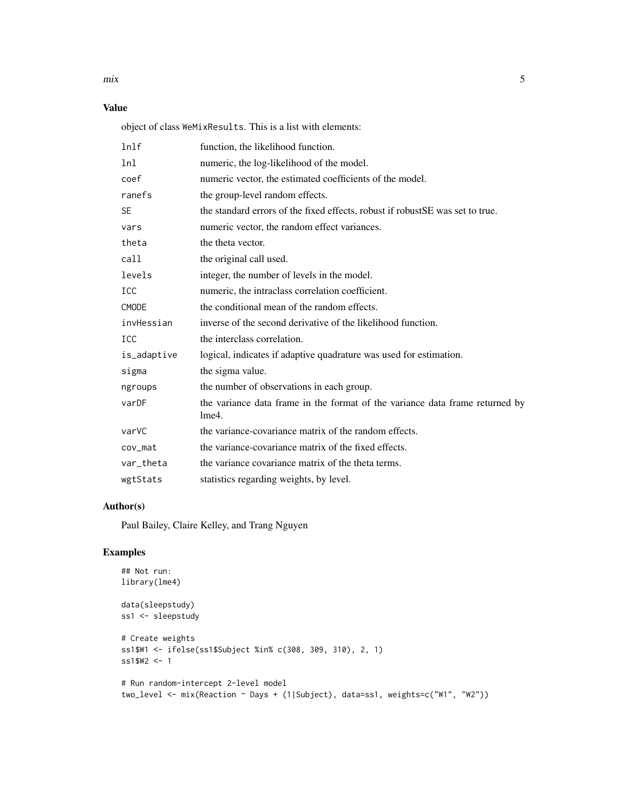$\frac{1}{5}$ 

#### Value

object of class WeMixResults. This is a list with elements:

| ln <sup>1</sup> f | function, the likelihood function.                                                    |
|-------------------|---------------------------------------------------------------------------------------|
| lnl               | numeric, the log-likelihood of the model.                                             |
| coef              | numeric vector, the estimated coefficients of the model.                              |
| ranefs            | the group-level random effects.                                                       |
| <b>SE</b>         | the standard errors of the fixed effects, robust if robust SE was set to true.        |
| vars              | numeric vector, the random effect variances.                                          |
| theta             | the theta vector.                                                                     |
| call              | the original call used.                                                               |
| levels            | integer, the number of levels in the model.                                           |
| <b>ICC</b>        | numeric, the intraclass correlation coefficient.                                      |
| CMODE             | the conditional mean of the random effects.                                           |
| invHessian        | inverse of the second derivative of the likelihood function.                          |
| ICC               | the interclass correlation.                                                           |
| is_adaptive       | logical, indicates if adaptive quadrature was used for estimation.                    |
| sigma             | the sigma value.                                                                      |
| ngroups           | the number of observations in each group.                                             |
| varDF             | the variance data frame in the format of the variance data frame returned by<br>lme4. |
| varVC             | the variance-covariance matrix of the random effects.                                 |
| cov_mat           | the variance-covariance matrix of the fixed effects.                                  |
| var_theta         | the variance covariance matrix of the theta terms.                                    |
| wgtStats          | statistics regarding weights, by level.                                               |

#### Author(s)

Paul Bailey, Claire Kelley, and Trang Nguyen

#### Examples

```
## Not run:
library(lme4)
data(sleepstudy)
ss1 <- sleepstudy
# Create weights
ss1$W1 <- ifelse(ss1$Subject %in% c(308, 309, 310), 2, 1)
ss1$W2 <- 1
# Run random-intercept 2-level model
two_level <- mix(Reaction ~ Days + (1|Subject), data=ss1, weights=c("W1", "W2"))
```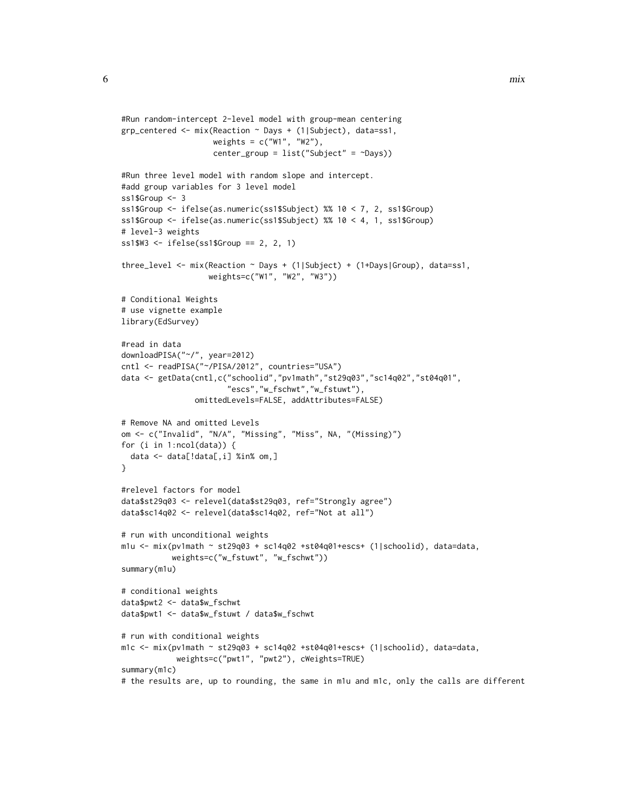```
#Run random-intercept 2-level model with group-mean centering
grp_centered <- mix(Reaction ~ Days + (1|Subject), data=ss1,
                    weights = c("W1", "W2"),
                    center_group = list("Subject" = ~Days))
#Run three level model with random slope and intercept.
#add group variables for 3 level model
ss1$Group <- 3
ss1$Group <- ifelse(as.numeric(ss1$Subject) %% 10 < 7, 2, ss1$Group)
ss1$Group <- ifelse(as.numeric(ss1$Subject) %% 10 < 4, 1, ss1$Group)
# level-3 weights
ss1$W3 <- ifelse(ss1$Group == 2, 2, 1)
three_level <- mix(Reaction ~ Days + (1|Subject) + (1+Days|Group), data=ss1,
                   weights=c("W1", "W2", "W3"))
# Conditional Weights
# use vignette example
library(EdSurvey)
#read in data
downloadPISA("~/", year=2012)
cntl <- readPISA("~/PISA/2012", countries="USA")
data <- getData(cntl,c("schoolid","pv1math","st29q03","sc14q02","st04q01",
                       "escs","w_fschwt","w_fstuwt"),
                omittedLevels=FALSE, addAttributes=FALSE)
# Remove NA and omitted Levels
om <- c("Invalid", "N/A", "Missing", "Miss", NA, "(Missing)")
for (i in 1:ncol(data)) {
 data <- data[!data[,i] %in% om,]
}
#relevel factors for model
data$st29q03 <- relevel(data$st29q03, ref="Strongly agree")
data$sc14q02 <- relevel(data$sc14q02, ref="Not at all")
# run with unconditional weights
m1u \langle- mix(pv1math \sim st29q03 + sc14q02 +st04q01+escs+ (1|schoolid), data=data,
           weights=c("w_fstuwt", "w_fschwt"))
summary(m1u)
# conditional weights
data$pwt2 <- data$w_fschwt
data$pwt1 <- data$w_fstuwt / data$w_fschwt
# run with conditional weights
m1c <- mix(pv1math ~ st29q03 + sc14q02 +st04q01+escs+ (1|schoolid), data=data,
            weights=c("pwt1", "pwt2"), cWeights=TRUE)
summary(m1c)
# the results are, up to rounding, the same in m1u and m1c, only the calls are different
```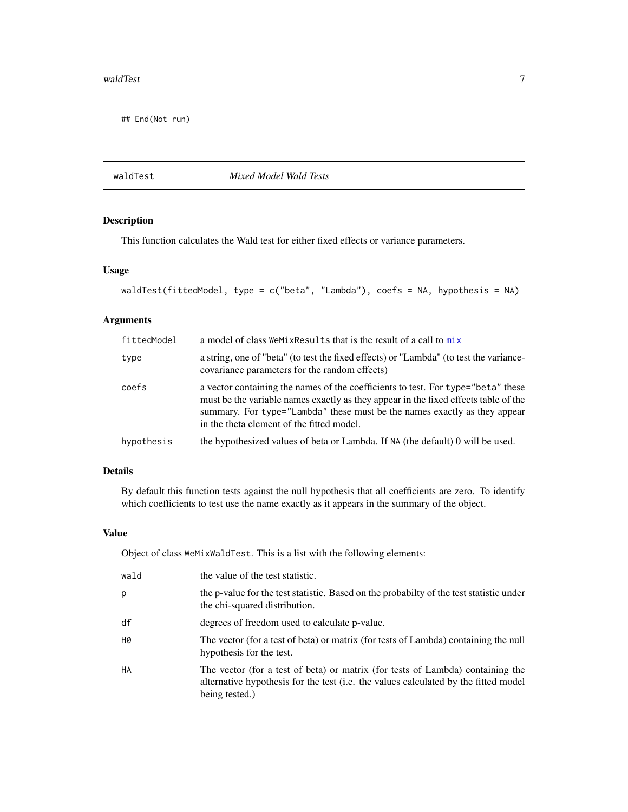#### <span id="page-6-0"></span>waldTest 7 and 7 and 7 and 7 and 7 and 7 and 7 and 7 and 7 and 7 and 7 and 7 and 7 and 7 and 7 and 7 and 7 and 7 and 7 and 7 and 7 and 7 and 7 and 7 and 7 and 7 and 7 and 7 and 7 and 7 and 7 and 7 and 7 and 7 and 7 and 7 a

## End(Not run)

#### waldTest *Mixed Model Wald Tests*

#### Description

This function calculates the Wald test for either fixed effects or variance parameters.

#### Usage

```
waldTest(fittedModel, type = c("beta", "Lambda"), coefs = NA, hypothesis = NA)
```
#### Arguments

| fittedModel | a model of class WeMixResults that is the result of a call to mix                                                                                                                                                                                                                                 |
|-------------|---------------------------------------------------------------------------------------------------------------------------------------------------------------------------------------------------------------------------------------------------------------------------------------------------|
| type        | a string, one of "beta" (to test the fixed effects) or "Lambda" (to test the variance-<br>covariance parameters for the random effects)                                                                                                                                                           |
| coefs       | a vector containing the names of the coefficients to test. For type="beta" these<br>must be the variable names exactly as they appear in the fixed effects table of the<br>summary. For type="Lambda" these must be the names exactly as they appear<br>in the theta element of the fitted model. |
| hypothesis  | the hypothesized values of beta or Lambda. If NA (the default) 0 will be used.                                                                                                                                                                                                                    |

#### Details

By default this function tests against the null hypothesis that all coefficients are zero. To identify which coefficients to test use the name exactly as it appears in the summary of the object.

#### Value

Object of class WeMixWaldTest. This is a list with the following elements:

| wald | the value of the test statistic.                                                                                                                                                        |
|------|-----------------------------------------------------------------------------------------------------------------------------------------------------------------------------------------|
| р    | the p-value for the test statistic. Based on the probabilty of the test statistic under<br>the chi-squared distribution.                                                                |
| df   | degrees of freedom used to calculate p-value.                                                                                                                                           |
| H0   | The vector (for a test of beta) or matrix (for tests of Lambda) containing the null<br>hypothesis for the test.                                                                         |
| HA   | The vector (for a test of beta) or matrix (for tests of Lambda) containing the<br>alternative hypothesis for the test (i.e. the values calculated by the fitted model<br>being tested.) |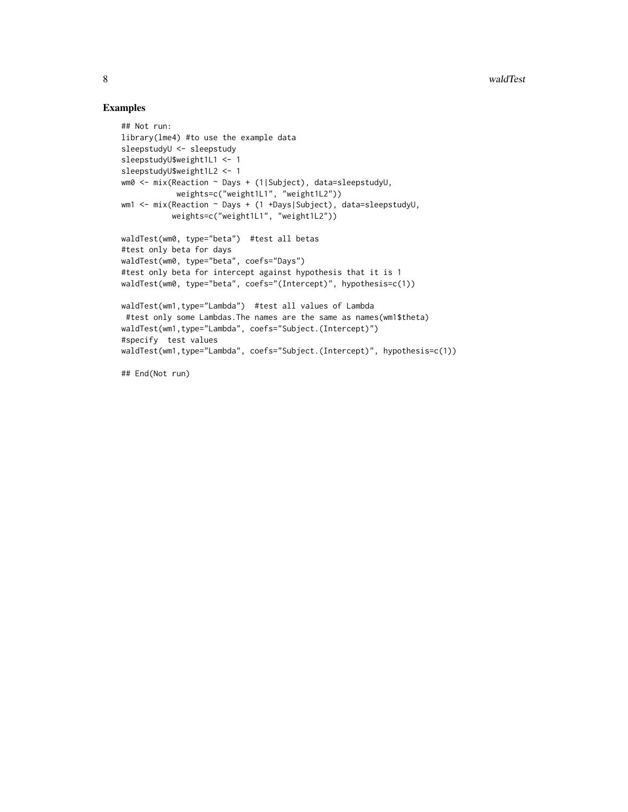#### Examples

```
## Not run:
library(lme4) #to use the example data
sleepstudyU <- sleepstudy
sleepstudyU$weight1L1 <- 1
sleepstudyU$weight1L2 <- 1
wm0 <- mix(Reaction ~ Days + (1|Subject), data=sleepstudyU,
            weights=c("weight1L1", "weight1L2"))
wm1 <- mix(Reaction ~ Days + (1 +Days|Subject), data=sleepstudyU,
           weights=c("weight1L1", "weight1L2"))
waldTest(wm0, type="beta") #test all betas
#test only beta for days
waldTest(wm0, type="beta", coefs="Days")
#test only beta for intercept against hypothesis that it is 1
waldTest(wm0, type="beta", coefs="(Intercept)", hypothesis=c(1))
waldTest(wm1,type="Lambda") #test all values of Lambda
#test only some Lambdas.The names are the same as names(wm1$theta)
waldTest(wm1,type="Lambda", coefs="Subject.(Intercept)")
#specify test values
waldTest(wm1,type="Lambda", coefs="Subject.(Intercept)", hypothesis=c(1))
## End(Not run)
```